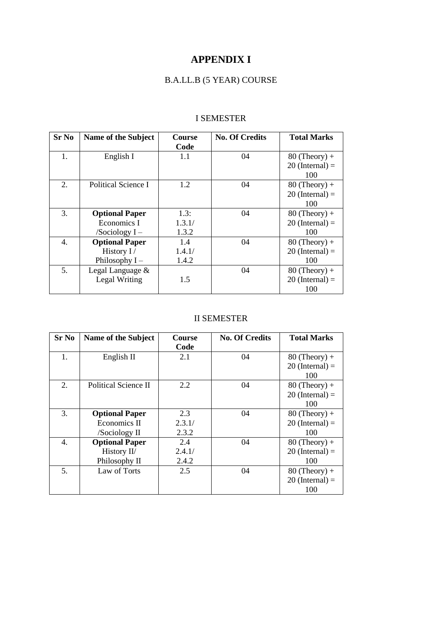# **APPENDIX I**

# B.A.LL.B (5 YEAR) COURSE

#### I SEMESTER

| <b>Sr No</b> | Name of the Subject   | Course | <b>No. Of Credits</b> | <b>Total Marks</b> |
|--------------|-----------------------|--------|-----------------------|--------------------|
|              |                       | Code   |                       |                    |
| 1.           | English I             | 1.1    | 04                    | $80$ (Theory) +    |
|              |                       |        |                       | $20$ (Internal) =  |
|              |                       |        |                       | 100                |
| 2.           | Political Science I   | 1.2    | 04                    | $80$ (Theory) +    |
|              |                       |        |                       | $20$ (Internal) =  |
|              |                       |        |                       | 100                |
| 3.           | <b>Optional Paper</b> | 1.3:   | 04                    | $80$ (Theory) +    |
|              | Economics I           | 1.3.1/ |                       | $20$ (Internal) =  |
|              | /Sociology $I -$      | 1.3.2  |                       | 100                |
| 4.           | <b>Optional Paper</b> | 1.4    | 04                    | $80$ (Theory) +    |
|              | History I/            | 1.4.1/ |                       | $20$ (Internal) =  |
|              | Philosophy $I -$      | 1.4.2  |                       | 100                |
| 5.           | Legal Language &      |        | 04                    | $80$ (Theory) +    |
|              | Legal Writing         | 1.5    |                       | $20$ (Internal) =  |
|              |                       |        |                       | 100                |

### II SEMESTER

| <b>Sr No</b> | Name of the Subject   | Course | <b>No. Of Credits</b> | <b>Total Marks</b> |
|--------------|-----------------------|--------|-----------------------|--------------------|
|              |                       | Code   |                       |                    |
| 1.           | English II            | 2.1    | 04                    | $80$ (Theory) +    |
|              |                       |        |                       | $20$ (Internal) =  |
|              |                       |        |                       | 100                |
| 2.           | Political Science II  | 2.2    | 04                    | $80$ (Theory) +    |
|              |                       |        |                       | $20$ (Internal) =  |
|              |                       |        |                       | 100                |
| 3.           | <b>Optional Paper</b> | 2.3    | 04                    | $80$ (Theory) +    |
|              | Economics II          | 2.3.1/ |                       | $20$ (Internal) =  |
|              | /Sociology II         | 2.3.2  |                       | 100                |
| 4.           | <b>Optional Paper</b> | 2.4    | 04                    | $80$ (Theory) +    |
|              | History II/           | 2.4.1/ |                       | $20$ (Internal) =  |
|              | Philosophy II         | 2.4.2  |                       | 100                |
| 5.           | Law of Torts          | 2.5    | 04                    | $80$ (Theory) +    |
|              |                       |        |                       | $20$ (Internal) =  |
|              |                       |        |                       | 100                |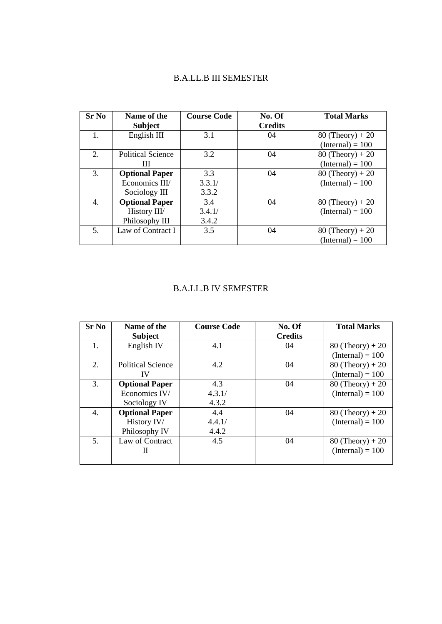#### B.A.LL.B III SEMESTER

| <b>Sr No</b> | Name of the              | <b>Course Code</b> | No. Of         | <b>Total Marks</b> |
|--------------|--------------------------|--------------------|----------------|--------------------|
|              | <b>Subject</b>           |                    | <b>Credits</b> |                    |
|              | English III              | 3.1                | 04             | $80$ (Theory) + 20 |
|              |                          |                    |                | $(Internal) = 100$ |
| 2.           | <b>Political Science</b> | 3.2                | 04             | $80$ (Theory) + 20 |
|              | Ш                        |                    |                | $(Internal) = 100$ |
| 3.           | <b>Optional Paper</b>    | 3.3                | 04             | $80$ (Theory) + 20 |
|              | Economics III/           | 3.3.1/             |                | $(Internal) = 100$ |
|              | Sociology III            | 3.3.2              |                |                    |
| 4.           | <b>Optional Paper</b>    | 3.4                | 04             | $80$ (Theory) + 20 |
|              | History III/             | 3.4.1/             |                | $(Internal) = 100$ |
|              | Philosophy III           | 3.4.2              |                |                    |
| 5.           | Law of Contract I        | 3.5                | 04             | $80$ (Theory) + 20 |
|              |                          |                    |                | $(Internal) = 100$ |

### B.A.LL.B IV SEMESTER

| <b>Sr No</b>   | Name of the<br><b>Subject</b> | <b>Course Code</b> | No. Of<br><b>Credits</b> | <b>Total Marks</b> |
|----------------|-------------------------------|--------------------|--------------------------|--------------------|
| $\mathbf{1}$ . | English IV                    | 4.1                | 04                       | $80$ (Theory) + 20 |
|                |                               |                    |                          | $(Internal) = 100$ |
| 2.             | <b>Political Science</b>      | 4.2                | 04                       | $80$ (Theory) + 20 |
|                | IV                            |                    |                          | $(Internal) = 100$ |
| 3.             | <b>Optional Paper</b>         | 4.3                | 04                       | $80$ (Theory) + 20 |
|                | Economics IV/                 | 4.3.1/             |                          | $(Internal) = 100$ |
|                | Sociology IV                  | 4.3.2              |                          |                    |
| 4.             | <b>Optional Paper</b>         | 4.4                | 04                       | $80$ (Theory) + 20 |
|                | History IV/                   | 4.4.1/             |                          | $(Internal) = 100$ |
|                | Philosophy IV                 | 4.4.2              |                          |                    |
| 5.             | Law of Contract               | 4.5                | 04                       | $80$ (Theory) + 20 |
|                | Н                             |                    |                          | $(Internal) = 100$ |
|                |                               |                    |                          |                    |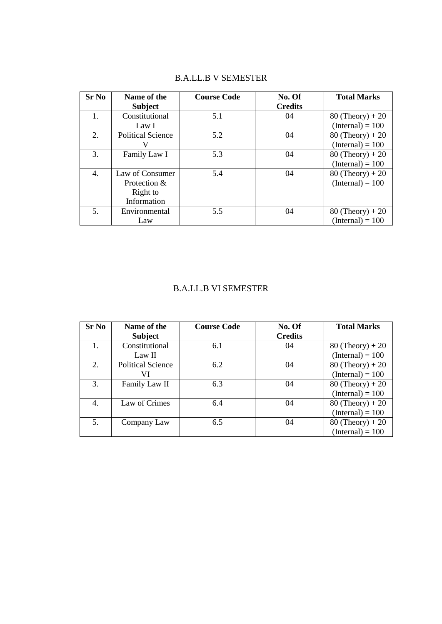| <b>Sr No</b> | Name of the              | <b>Course Code</b> | No. Of         | <b>Total Marks</b> |
|--------------|--------------------------|--------------------|----------------|--------------------|
|              | <b>Subject</b>           |                    | <b>Credits</b> |                    |
| 1.           | Constitutional           | 5.1                | 04             | $80$ (Theory) + 20 |
|              | Law I                    |                    |                | $(Internal) = 100$ |
| 2.           | <b>Political Science</b> | 5.2                | 04             | $80$ (Theory) + 20 |
|              |                          |                    |                | $(Internal) = 100$ |
| 3.           | Family Law I             | 5.3                | 04             | $80$ (Theory) + 20 |
|              |                          |                    |                | $(Internal) = 100$ |
| 4.           | Law of Consumer          | 5.4                | 04             | $80$ (Theory) + 20 |
|              | Protection $&$           |                    |                | $(Internal) = 100$ |
|              | Right to                 |                    |                |                    |
|              | Information              |                    |                |                    |
| 5.           | Environmental            | 5.5                | 04             | $80$ (Theory) + 20 |
|              | Law                      |                    |                | $(Internal) = 100$ |

## B.A.LL.B V SEMESTER

#### B.A.LL.B VI SEMESTER

| <b>Sr No</b> | Name of the              | <b>Course Code</b> | No. Of         | <b>Total Marks</b> |
|--------------|--------------------------|--------------------|----------------|--------------------|
|              | <b>Subject</b>           |                    | <b>Credits</b> |                    |
|              | Constitutional           | 6.1                | 04             | $80$ (Theory) + 20 |
|              | Law II                   |                    |                | $(Internal) = 100$ |
| 2.           | <b>Political Science</b> | 6.2                | 04             | $80$ (Theory) + 20 |
|              | VI                       |                    |                | $(Internal) = 100$ |
| 3.           | Family Law II            | 6.3                | 04             | $80$ (Theory) + 20 |
|              |                          |                    |                | $(Internal) = 100$ |
| 4.           | Law of Crimes            | 6.4                | 04             | $80$ (Theory) + 20 |
|              |                          |                    |                | $(Internal) = 100$ |
| 5.           | Company Law              | 6.5                | 04             | $80$ (Theory) + 20 |
|              |                          |                    |                | $(Internal) = 100$ |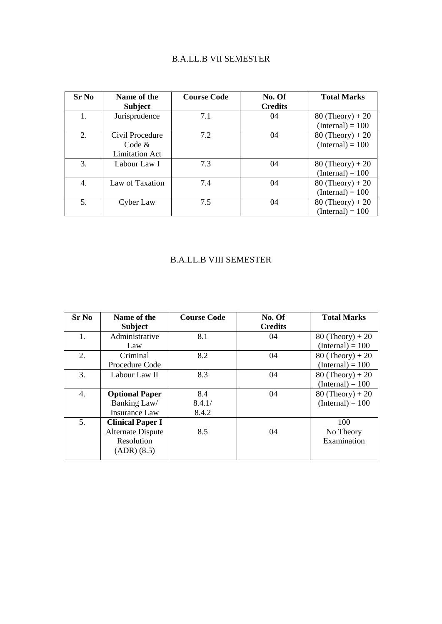## B.A.LL.B VII SEMESTER

| Sr No | Name of the           | <b>Course Code</b> | No. Of         | <b>Total Marks</b> |
|-------|-----------------------|--------------------|----------------|--------------------|
|       | <b>Subject</b>        |                    | <b>Credits</b> |                    |
| 1.    | Jurisprudence         | 7.1                | 04             | $80$ (Theory) + 20 |
|       |                       |                    |                | $(Internal) = 100$ |
| 2.    | Civil Procedure       | 7.2                | 04             | $80$ (Theory) + 20 |
|       | Code &                |                    |                | $(Internal) = 100$ |
|       | <b>Limitation Act</b> |                    |                |                    |
| 3.    | Labour Law I          | 7.3                | 04             | $80$ (Theory) + 20 |
|       |                       |                    |                | $(Internal) = 100$ |
| 4.    | Law of Taxation       | 7.4                | 04             | $80$ (Theory) + 20 |
|       |                       |                    |                | $(Internal) = 100$ |
| 5.    | Cyber Law             | 7.5                | 04             | $80$ (Theory) + 20 |
|       |                       |                    |                | $(Internal) = 100$ |

## B.A.LL.B VIII SEMESTER

| <b>Sr No</b> | Name of the<br><b>Subject</b>                                                    | <b>Course Code</b>     | No. Of<br><b>Credits</b> | <b>Total Marks</b>                       |
|--------------|----------------------------------------------------------------------------------|------------------------|--------------------------|------------------------------------------|
| 1.           | Administrative<br>Law                                                            | 8.1                    | 04                       | $80$ (Theory) + 20<br>$(Internal) = 100$ |
| 2.           | Criminal<br>Procedure Code                                                       | 8.2                    | 04                       | $80$ (Theory) + 20<br>$(Internal) = 100$ |
| 3.           | Labour Law II                                                                    | 8.3                    | 04                       | $80$ (Theory) + 20<br>$(Internal) = 100$ |
| 4.           | <b>Optional Paper</b><br>Banking Law/<br><b>Insurance Law</b>                    | 8.4<br>8.4.1/<br>8.4.2 | 04                       | $80$ (Theory) + 20<br>$(Internal) = 100$ |
| 5.           | <b>Clinical Paper I</b><br><b>Alternate Dispute</b><br>Resolution<br>(ADR) (8.5) | 8.5                    | 04                       | 100<br>No Theory<br>Examination          |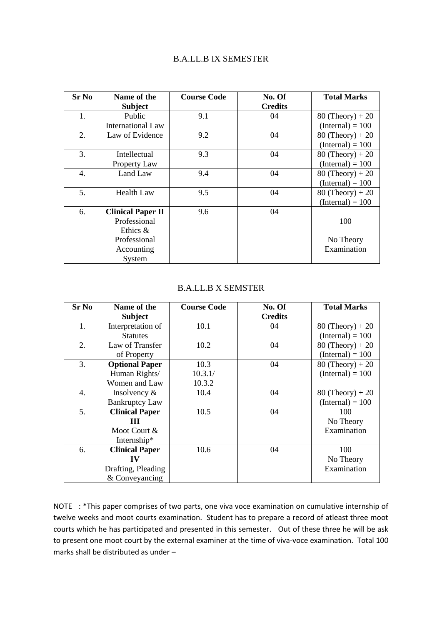#### B.A.LL.B IX SEMESTER

| Sr No | Name of the              | <b>Course Code</b> | No. Of         | <b>Total Marks</b> |
|-------|--------------------------|--------------------|----------------|--------------------|
|       | <b>Subject</b>           |                    | <b>Credits</b> |                    |
| 1.    | Public                   | 9.1                | 04             | $80$ (Theory) + 20 |
|       | <b>International Law</b> |                    |                | $(Internal) = 100$ |
| 2.    | Law of Evidence          | 9.2                | 04             | $80$ (Theory) + 20 |
|       |                          |                    |                | $(Internal) = 100$ |
| 3.    | Intellectual             | 9.3                | 04             | $80$ (Theory) + 20 |
|       | Property Law             |                    |                | $(Internal) = 100$ |
| 4.    | Land Law                 | 9.4                | 04             | $80$ (Theory) + 20 |
|       |                          |                    |                | $(Internal) = 100$ |
| 5.    | <b>Health Law</b>        | 9.5                | 04             | $80$ (Theory) + 20 |
|       |                          |                    |                | $(Internal) = 100$ |
| 6.    | <b>Clinical Paper II</b> | 9.6                | 04             |                    |
|       | Professional             |                    |                | 100                |
|       | Ethics $\&$              |                    |                |                    |
|       | Professional             |                    |                | No Theory          |
|       | Accounting               |                    |                | Examination        |
|       | System                   |                    |                |                    |

#### B.A.LL.B X SEMSTER

| <b>Sr No</b> | Name of the           | <b>Course Code</b> | No. Of         | <b>Total Marks</b> |
|--------------|-----------------------|--------------------|----------------|--------------------|
|              | <b>Subject</b>        |                    | <b>Credits</b> |                    |
| 1.           | Interpretation of     | 10.1               | 04             | $80$ (Theory) + 20 |
|              | <b>Statutes</b>       |                    |                | $(Internal) = 100$ |
| 2.           | Law of Transfer       | 10.2               | 04             | $80$ (Theory) + 20 |
|              | of Property           |                    |                | $(Internal) = 100$ |
| 3.           | <b>Optional Paper</b> | 10.3               | 04             | $80$ (Theory) + 20 |
|              | Human Rights/         | 10.3.1/            |                | $(Internal) = 100$ |
|              | Women and Law         | 10.3.2             |                |                    |
| 4.           | Insolvency $\&$       | 10.4               | 04             | $80$ (Theory) + 20 |
|              | <b>Bankruptcy Law</b> |                    |                | $(Internal) = 100$ |
| 5.           | <b>Clinical Paper</b> | 10.5               | 04             | 100                |
|              | Ш                     |                    |                | No Theory          |
|              | Moot Court &          |                    |                | Examination        |
|              | Internship*           |                    |                |                    |
| 6.           | <b>Clinical Paper</b> | 10.6               | 04             | 100                |
|              | IV                    |                    |                | No Theory          |
|              | Drafting, Pleading    |                    |                | Examination        |
|              | & Conveyancing        |                    |                |                    |

NOTE : \*This paper comprises of two parts, one viva voce examination on cumulative internship of twelve weeks and moot courts examination. Student has to prepare a record of atleast three moot courts which he has participated and presented in this semester. Out of these three he will be ask to present one moot court by the external examiner at the time of viva-voce examination. Total 100 marks shall be distributed as under –